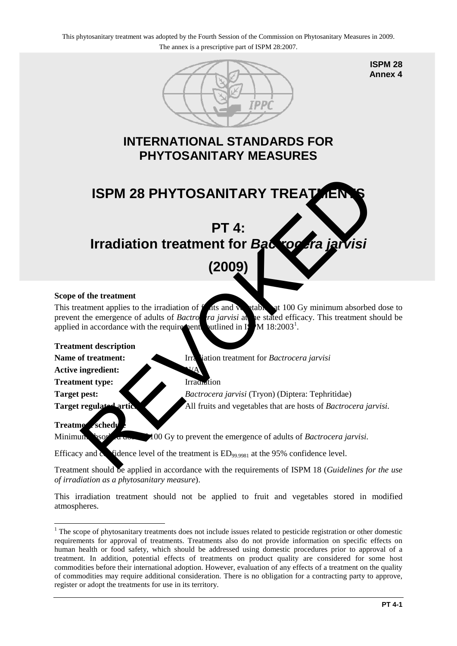

**ISPM 28 Annex 4**

## **INTERNATIONAL STANDARDS FOR PHYTOSANITARY MEASURES**



# **(2009)**

#### **Scope of the treatment**

This treatment applies to the irradiation of  $\bf{f}$  at and  $\bf{v}$  at 100 Gy minimum absorbed dose to prevent the emergence of adults of *Bactrocera jarvisi* at the stated efficacy. This treatment should be applied in accordance with the requirements outlined in Is M 18:2003<sup>1</sup>.

#### **Treatment description**

**Name of treatment:** Irradiation treatment for *Bactrocera jarvisi* 

**Active ingredient:** 

**Treatment type:** Irradiation

**Target pest:** *Bactrocera jarvisi* (Tryon) (Diptera: Tephritidae) **Target regulated articles:** All fruits and vegetables that are hosts of *Bactrocera jarvisi*.

### **Treatment schedule**

Minimum absorbed down  $\blacktriangleright$  100 Gy to prevent the emergence of adults of *Bactrocera jarvisi*.

Efficacy and  $\alpha$  fidence level of the treatment is  $ED_{99,9981}$  at the 95% confidence level.

Treatment should be applied in accordance with the requirements of ISPM 18 (*Guidelines for the use of irradiation as a phytosanitary measure*).

This irradiation treatment should not be applied to fruit and vegetables stored in modified atmospheres.

<span id="page-0-0"></span><sup>&</sup>lt;u>.</u> <sup>1</sup> The scope of phytosanitary treatments does not include issues related to pesticide registration or other domestic requirements for approval of treatments. Treatments also do not provide information on specific effects on human health or food safety, which should be addressed using domestic procedures prior to approval of a treatment. In addition, potential effects of treatments on product quality are considered for some host commodities before their international adoption. However, evaluation of any effects of a treatment on the quality of commodities may require additional consideration. There is no obligation for a contracting party to approve, register or adopt the treatments for use in its territory.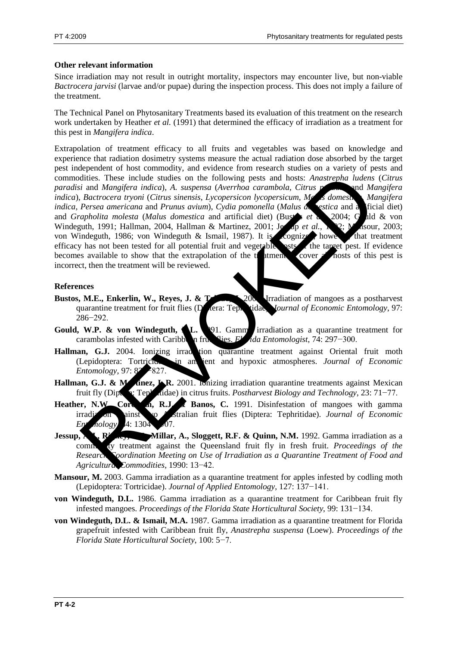#### **Other relevant information**

Since irradiation may not result in outright mortality, inspectors may encounter live, but non-viable *Bactrocera jarvisi* (larvae and/or pupae) during the inspection process. This does not imply a failure of the treatment.

The Technical Panel on Phytosanitary Treatments based its evaluation of this treatment on the research work undertaken by Heather *et al.* (1991) that determined the efficacy of irradiation as a treatment for this pest in *Mangifera indica*.

Extrapolation of treatment efficacy to all fruits and vegetables was based on knowledge and experience that radiation dosimetry systems measure the actual radiation dose absorbed by the target pest independent of host commodity, and evidence from research studies on a variety of pests and commodities. These include studies on the following pests and hosts: *Anastrepha ludens* (*Citrus paradisi* and *Mangifera indica*), *A. suspensa* (*Averrhoa carambola*, *Citrus paradisi* and *Mangifera indica*), *Bactrocera tryoni* (*Citrus sinensis*, *Lycopersicon lycopersicum*, *Malus domestica*, *Mangifera indica*, *Persea americana* and *Prunus avium*), *Cydia pomonella* (*Malus de estica* and a ficial diet) and *Grapholita molesta* (*Malus domestica* and artificial diet) (Bustar *et a*) 2004; G ald & von Windeguth, 1991; Hallman, 2004, Hallman & Martinez, 2001; Jessep *et al.*, 192; Masour, 2003; von Windeguth, 1986; von Windeguth & Ismail, 1987). It is cognized, however, that treatment efficacy has not been tested for all potential fruit and vegetable sets the target pest. If evidence becomes available to show that the extrapolation of the  $t$  atment to cover all hosts of this pest is incorrect, then the treatment will be reviewed. dities. These include studies on the following pests and hosts: Anastrepha ludens<br>
is Bactrocera tryoni (Citrus sinespsis, Lycopersicon hycopersicum, ML<br> *Bactrocera tryoni (Citrus sinespsis, Lycopersicon hycopersicum, ML* 

#### **References**

- **Bustos, M.E., Enkerlin, W., Reyes, J. & Toledoc, J. 1.** 2004. Irradiation of mangoes as a postharvest quarantine treatment for fruit flies (Diptera: Tephritidae). *Journal of Economic Entomology*, 97: 286−292.
- **Gould, W.P. & von Windeguth, L.** 1991. Gamma irradiation as a quarantine treatment for carambolas infested with Caribbe<sub>n</sub> fruit flies. *F<sup>t</sup>ida Entomologist*, 74: 297−300.
- Hallman, G.J. 2004. Ionizing irradition quarantine treatment against Oriental fruit moth (Lepidoptera: Tortricidae) in ambient and hypoxic atmospheres. *Journal of Economic Entomology*, 97: 82<sup>2</sup>−827.
- **Hallman, G.J. & Martinez, L.R.** 2001. Ionizing irradiation quarantine treatments against Mexican fruit fly (Diptera: Tephritidae) in citrus fruits. *Postharvest Biology and Technology*, 23: 71−77.
- Heather, N.W., Core **n. R.J. & Banos, C.** 1991. Disinfestation of mangoes with gamma irradiation ainst two Australian fruit flies (Diptera: Tephritidae). *Journal of Economic Ent* nology, 4: 1304
- **Jessup, A.J., Righer, Millar, A., Sloggett, R.F. & Quinn, N.M.** 1992. Gamma irradiation as a commodity treatment against the Queensland fruit fly in fresh fruit. *Proceedings of the Research Coordination Meeting on Use of Irradiation as a Quarantine Treatment of Food and Agricultural Commodities*, 1990: 13−42.
- **Mansour, M.** 2003. Gamma irradiation as a quarantine treatment for apples infested by codling moth (Lepidoptera: Tortricidae). *Journal of Applied Entomology*, 127: 137−141.
- **von Windeguth, D.L.** 1986. Gamma irradiation as a quarantine treatment for Caribbean fruit fly infested mangoes. *Proceedings of the Florida State Horticultural Society*, 99: 131−134.
- **von Windeguth, D.L. & Ismail, M.A.** 1987. Gamma irradiation as a quarantine treatment for Florida grapefruit infested with Caribbean fruit fly, *Anastrepha suspensa* (Loew). *Proceedings of the Florida State Horticultural Society*, 100: 5−7.